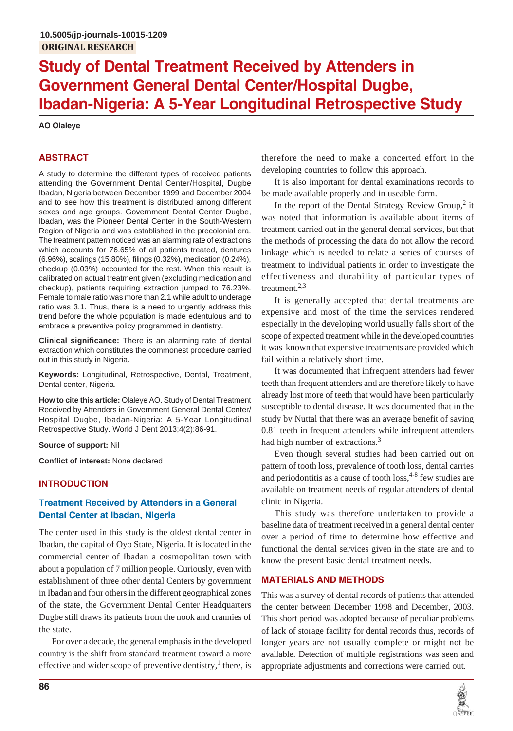# **Study of Dental Treatment Received by Attenders in Government General Dental Center/Hospital Dugbe, Ibadan-Nigeria: A 5-Year Longitudinal Retrospective Study**

## **AO Olaleye**

# **ABSTRACT**

A study to determine the different types of received patients attending the Government Dental Center/Hospital, Dugbe Ibadan, Nigeria between December 1999 and December 2004 and to see how this treatment is distributed among different sexes and age groups. Government Dental Center Dugbe, Ibadan, was the Pioneer Dental Center in the South-Western Region of Nigeria and was established in the precolonial era. The treatment pattern noticed was an alarming rate of extractions which accounts for 76.65% of all patients treated, dentures (6.96%), scalings (15.80%), filings (0.32%), medication (0.24%), checkup (0.03%) accounted for the rest. When this result is calibrated on actual treatment given (excluding medication and checkup), patients requiring extraction jumped to 76.23%. Female to male ratio was more than 2.1 while adult to underage ratio was 3.1. Thus, there is a need to urgently address this trend before the whole population is made edentulous and to embrace a preventive policy programmed in dentistry.

**Clinical significance:** There is an alarming rate of dental extraction which constitutes the commonest procedure carried out in this study in Nigeria.

**Keywords:** Longitudinal, Retrospective, Dental, Treatment, Dental center, Nigeria.

**How to cite this article:** Olaleye AO. Study of Dental Treatment Received by Attenders in Government General Dental Center/ Hospital Dugbe, Ibadan-Nigeria: A 5-Year Longitudinal Retrospective Study. World J Dent 2013;4(2):86-91.

**Source of support:** Nil

**Conflict of interest:** None declared

## **INTRODUCTION**

## **Treatment Received by Attenders in a General Dental Center at Ibadan, Nigeria**

The center used in this study is the oldest dental center in Ibadan, the capital of Oyo State, Nigeria. It is located in the commercial center of Ibadan a cosmopolitan town with about a population of 7 million people. Curiously, even with establishment of three other dental Centers by government in Ibadan and four others in the different geographical zones of the state, the Government Dental Center Headquarters Dugbe still draws its patients from the nook and crannies of the state.

For over a decade, the general emphasis in the developed country is the shift from standard treatment toward a more effective and wider scope of preventive dentistry, $<sup>1</sup>$  there, is</sup>

therefore the need to make a concerted effort in the developing countries to follow this approach.

It is also important for dental examinations records to be made available properly and in useable form.

In the report of the Dental Strategy Review Group, $2$  it was noted that information is available about items of treatment carried out in the general dental services, but that the methods of processing the data do not allow the record linkage which is needed to relate a series of courses of treatment to individual patients in order to investigate the effectiveness and durability of particular types of treatment. $2,3$ 

It is generally accepted that dental treatments are expensive and most of the time the services rendered especially in the developing world usually falls short of the scope of expected treatment while in the developed countries it was known that expensive treatments are provided which fail within a relatively short time.

It was documented that infrequent attenders had fewer teeth than frequent attenders and are therefore likely to have already lost more of teeth that would have been particularly susceptible to dental disease. It was documented that in the study by Nuttal that there was an average benefit of saving 0.81 teeth in frequent attenders while infrequent attenders had high number of extractions.<sup>3</sup>

Even though several studies had been carried out on pattern of tooth loss, prevalence of tooth loss, dental carries and periodontitis as a cause of tooth  $loss<sub>1</sub><sup>4-8</sup>$  few studies are available on treatment needs of regular attenders of dental clinic in Nigeria.

This study was therefore undertaken to provide a baseline data of treatment received in a general dental center over a period of time to determine how effective and functional the dental services given in the state are and to know the present basic dental treatment needs.

## **MATERIALS AND METHODS**

This was a survey of dental records of patients that attended the center between December 1998 and December, 2003. This short period was adopted because of peculiar problems of lack of storage facility for dental records thus, records of longer years are not usually complete or might not be available. Detection of multiple registrations was seen and appropriate adjustments and corrections were carried out.

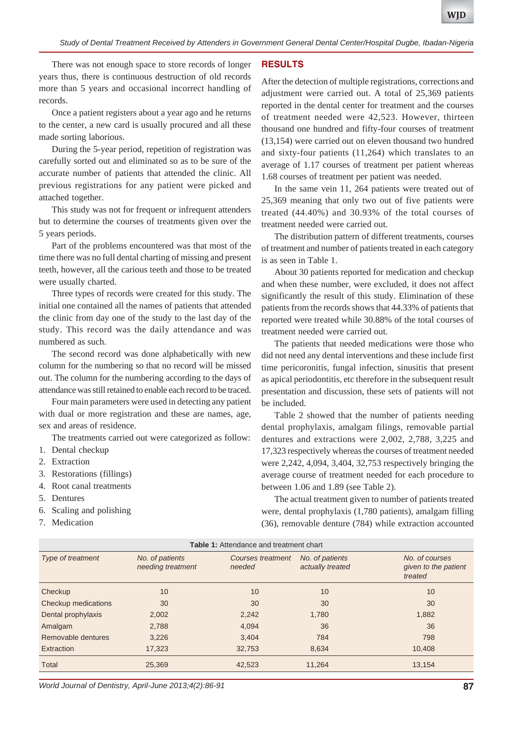There was not enough space to store records of longer years thus, there is continuous destruction of old records more than 5 years and occasional incorrect handling of records.

Once a patient registers about a year ago and he returns to the center, a new card is usually procured and all these made sorting laborious.

During the 5-year period, repetition of registration was carefully sorted out and eliminated so as to be sure of the accurate number of patients that attended the clinic. All previous registrations for any patient were picked and attached together.

This study was not for frequent or infrequent attenders but to determine the courses of treatments given over the 5 years periods.

Part of the problems encountered was that most of the time there was no full dental charting of missing and present teeth, however, all the carious teeth and those to be treated were usually charted.

Three types of records were created for this study. The initial one contained all the names of patients that attended the clinic from day one of the study to the last day of the study. This record was the daily attendance and was numbered as such.

The second record was done alphabetically with new column for the numbering so that no record will be missed out. The column for the numbering according to the days of attendance was still retained to enable each record to be traced.

Four main parameters were used in detecting any patient with dual or more registration and these are names, age, sex and areas of residence.

The treatments carried out were categorized as follow:

- 1. Dental checkup
- 2. Extraction
- 3. Restorations (fillings)
- 4. Root canal treatments
- 5. Dentures
- 6. Scaling and polishing
- 7. Medication

#### **RESULTS**

After the detection of multiple registrations, corrections and adjustment were carried out. A total of 25,369 patients reported in the dental center for treatment and the courses of treatment needed were 42,523. However, thirteen thousand one hundred and fifty-four courses of treatment (13,154) were carried out on eleven thousand two hundred and sixty-four patients (11,264) which translates to an average of 1.17 courses of treatment per patient whereas 1.68 courses of treatment per patient was needed.

In the same vein 11, 264 patients were treated out of 25,369 meaning that only two out of five patients were treated (44.40%) and 30.93% of the total courses of treatment needed were carried out.

The distribution pattern of different treatments, courses of treatment and number of patients treated in each category is as seen in Table 1.

About 30 patients reported for medication and checkup and when these number, were excluded, it does not affect significantly the result of this study. Elimination of these patients from the records shows that 44.33% of patients that reported were treated while 30.88% of the total courses of treatment needed were carried out.

The patients that needed medications were those who did not need any dental interventions and these include first time pericoronitis, fungal infection, sinusitis that present as apical periodontitis, etc therefore in the subsequent result presentation and discussion, these sets of patients will not be included.

Table 2 showed that the number of patients needing dental prophylaxis, amalgam filings, removable partial dentures and extractions were 2,002, 2,788, 3,225 and 17,323 respectively whereas the courses of treatment needed were 2,242, 4,094, 3,404, 32,753 respectively bringing the average course of treatment needed for each procedure to between 1.06 and 1.89 (see Table 2).

The actual treatment given to number of patients treated were, dental prophylaxis (1,780 patients), amalgam filling (36), removable denture (784) while extraction accounted

| <b>Table 1:</b> Attendance and treatment chart |                                      |                                    |                                     |                                                   |  |
|------------------------------------------------|--------------------------------------|------------------------------------|-------------------------------------|---------------------------------------------------|--|
| Type of treatment                              | No. of patients<br>needing treatment | <b>Courses treatment</b><br>needed | No. of patients<br>actually treated | No. of courses<br>given to the patient<br>treated |  |
| Checkup                                        | 10                                   | 10                                 | 10                                  | 10                                                |  |
| Checkup medications                            | 30                                   | 30                                 | 30                                  | 30                                                |  |
| Dental prophylaxis                             | 2,002                                | 2,242                              | 1,780                               | 1,882                                             |  |
| Amalgam                                        | 2,788                                | 4,094                              | 36                                  | 36                                                |  |
| Removable dentures                             | 3,226                                | 3,404                              | 784                                 | 798                                               |  |
| Extraction                                     | 17,323                               | 32,753                             | 8,634                               | 10,408                                            |  |
| Total                                          | 25,369                               | 42,523                             | 11,264                              | 13,154                                            |  |

*World Journal of Dentistry, April-June 2013;4(2):86-91* **87**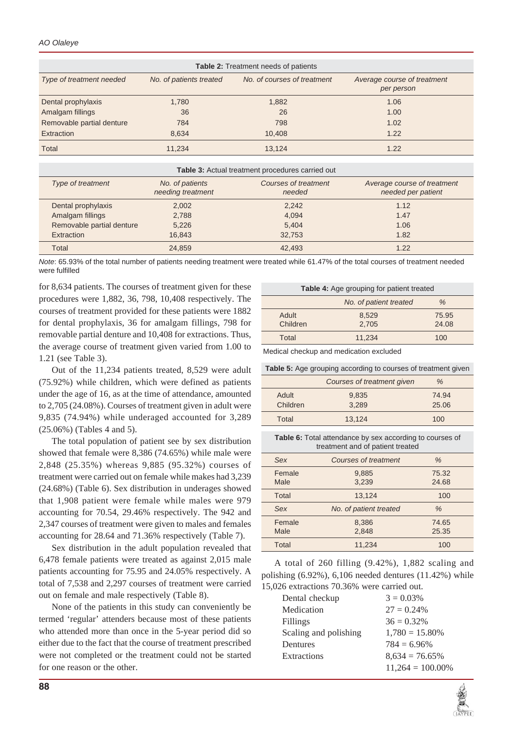| <b>Table 2: Treatment needs of patients</b> |                         |                             |                                           |  |
|---------------------------------------------|-------------------------|-----------------------------|-------------------------------------------|--|
| Type of treatment needed                    | No. of patients treated | No. of courses of treatment | Average course of treatment<br>per person |  |
| Dental prophylaxis                          | 1,780                   | 1,882                       | 1.06                                      |  |
| Amalgam fillings                            | 36                      | 26                          | 1.00                                      |  |
| Removable partial denture                   | 784                     | 798                         | 1.02                                      |  |
| Extraction                                  | 8,634                   | 10.408                      | 1.22                                      |  |
| Total                                       | 11.234                  | 13.124                      | 1.22                                      |  |

| Table 3: Actual treatment procedures carried out |                                      |                                |                                                   |  |
|--------------------------------------------------|--------------------------------------|--------------------------------|---------------------------------------------------|--|
| Type of treatment                                | No. of patients<br>needing treatment | Courses of treatment<br>needed | Average course of treatment<br>needed per patient |  |
| Dental prophylaxis                               | 2.002                                | 2,242                          | 1.12                                              |  |
| Amalgam fillings                                 | 2.788                                | 4,094                          | 1.47                                              |  |
| Removable partial denture                        | 5.226                                | 5,404                          | 1.06                                              |  |
| <b>Extraction</b>                                | 16.843                               | 32.753                         | 1.82                                              |  |
| Total                                            | 24,859                               | 42.493                         | 1.22                                              |  |

*Note*: 65.93% of the total number of patients needing treatment were treated while 61.47% of the total courses of treatment needed were fulfilled

for 8,634 patients. The courses of treatment given for these procedures were 1,882, 36, 798, 10,408 respectively. The courses of treatment provided for these patients were 1882 for dental prophylaxis, 36 for amalgam fillings, 798 for removable partial denture and 10,408 for extractions. Thus, the average course of treatment given varied from 1.00 to 1.21 (see Table 3).

Out of the 11,234 patients treated, 8,529 were adult (75.92%) while children, which were defined as patients under the age of 16, as at the time of attendance, amounted to 2,705 (24.08%). Courses of treatment given in adult were 9,835 (74.94%) while underaged accounted for 3,289 (25.06%) (Tables 4 and 5).

The total population of patient see by sex distribution showed that female were 8,386 (74.65%) while male were 2,848 (25.35%) whereas 9,885 (95.32%) courses of treatment were carried out on female while makes had 3,239 (24.68%) (Table 6). Sex distribution in underages showed that 1,908 patient were female while males were 979 accounting for 70.54, 29.46% respectively. The 942 and 2,347 courses of treatment were given to males and females accounting for 28.64 and 71.36% respectively (Table 7).

Sex distribution in the adult population revealed that 6,478 female patients were treated as against 2,015 male patients accounting for 75.95 and 24.05% respectively. A total of 7,538 and 2,297 courses of treatment were carried out on female and male respectively (Table 8).

None of the patients in this study can conveniently be termed 'regular' attenders because most of these patients who attended more than once in the 5-year period did so either due to the fact that the course of treatment prescribed were not completed or the treatment could not be started for one reason or the other.

| <b>Table 4:</b> Age grouping for patient treated |                        |       |  |
|--------------------------------------------------|------------------------|-------|--|
|                                                  | No. of patient treated | $\%$  |  |
| Adult                                            | 8,529                  | 75.95 |  |
| Children                                         | 2.705                  | 24.08 |  |
| Total                                            | 11.234                 | 100   |  |

Medical checkup and medication excluded

**Table 5:** Age grouping according to courses of treatment given

|          | Courses of treatment given | %     |
|----------|----------------------------|-------|
| Adult    | 9,835                      | 74.94 |
| Children | 3.289                      | 25.06 |
| Total    | 13.124                     | 100   |

**Table 6:** Total attendance by sex according to courses of treatment and of patient treated

| Sex            | Courses of treatment   | $\frac{0}{0}$  |
|----------------|------------------------|----------------|
| Female<br>Male | 9,885<br>3,239         | 75.32<br>24.68 |
| Total          | 13,124                 | 100            |
| Sex            | No. of patient treated | $\%$           |
| Female         | 8,386                  | 74.65          |
| Male           | 2,848                  | 25.35          |
| Total          | 11,234                 | 100            |

A total of 260 filling (9.42%), 1,882 scaling and polishing  $(6.92\%)$ ,  $6,106$  needed dentures  $(11.42\%)$  while 15,026 extractions 70.36% were carried out.

| Dental checkup        | $3 = 0.03\%$        |
|-----------------------|---------------------|
| Medication            | $27 = 0.24\%$       |
| Fillings              | $36 = 0.32\%$       |
| Scaling and polishing | $1,780 = 15.80\%$   |
| Dentures              | $784 = 6.96\%$      |
| Extractions           | $8,634 = 76.65\%$   |
|                       | $11,264 = 100.00\%$ |

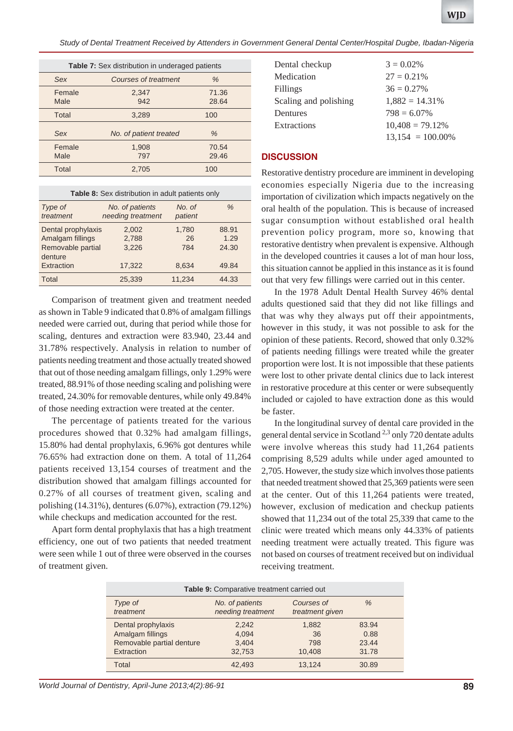*Study of Dental Treatment Received by Attenders in Government General Dental Center/Hospital Dugbe, Ibadan-Nigeria*

| <b>Table 7:</b> Sex distribution in underaged patients |                        |                |  |
|--------------------------------------------------------|------------------------|----------------|--|
| Sex                                                    | Courses of treatment   | $\%$           |  |
| Female<br>Male                                         | 2,347<br>942           | 71.36<br>28.64 |  |
| Total                                                  | 3,289                  | 100            |  |
| Sex                                                    | No. of patient treated | $\%$           |  |
| Female<br>Male                                         | 1,908<br>797           | 70.54<br>29.46 |  |
| Total                                                  | 2.705                  | 100            |  |

| <b>Table 8:</b> Sex distribution in adult patients only                              |                                      |                             |                                 |  |  |
|--------------------------------------------------------------------------------------|--------------------------------------|-----------------------------|---------------------------------|--|--|
| Type of<br>treatment                                                                 | No. of patients<br>needing treatment | No. of<br>patient           | $\%$                            |  |  |
| Dental prophylaxis<br>Amalgam fillings<br>Removable partial<br>denture<br>Extraction | 2,002<br>2,788<br>3.226<br>17,322    | 1,780<br>26<br>784<br>8,634 | 88.91<br>1.29<br>24.30<br>49.84 |  |  |
| Total                                                                                | 25,339                               | 11,234                      | 44.33                           |  |  |

Comparison of treatment given and treatment needed as shown in Table 9 indicated that 0.8% of amalgam fillings needed were carried out, during that period while those for scaling, dentures and extraction were 83.940, 23.44 and 31.78% respectively. Analysis in relation to number of patients needing treatment and those actually treated showed that out of those needing amalgam fillings, only 1.29% were treated, 88.91% of those needing scaling and polishing were treated, 24.30% for removable dentures, while only 49.84% of those needing extraction were treated at the center.

The percentage of patients treated for the various procedures showed that 0.32% had amalgam fillings, 15.80% had dental prophylaxis, 6.96% got dentures while 76.65% had extraction done on them. A total of 11,264 patients received 13,154 courses of treatment and the distribution showed that amalgam fillings accounted for 0.27% of all courses of treatment given, scaling and polishing (14.31%), dentures (6.07%), extraction (79.12%) while checkups and medication accounted for the rest.

Apart form dental prophylaxis that has a high treatment efficiency, one out of two patients that needed treatment were seen while 1 out of three were observed in the courses of treatment given.

| Dental checkup        | $3 = 0.02\%$        |
|-----------------------|---------------------|
| Medication            | $27 = 0.21\%$       |
| Fillings              | $36 = 0.27\%$       |
| Scaling and polishing | $1,882 = 14.31\%$   |
| Dentures              | $798 = 6.07\%$      |
| Extractions           | $10,408 = 79.12\%$  |
|                       | $13,154 = 100.00\%$ |

#### **DISCUSSION**

Restorative dentistry procedure are imminent in developing economies especially Nigeria due to the increasing importation of civilization which impacts negatively on the oral health of the population. This is because of increased sugar consumption without established oral health prevention policy program, more so, knowing that restorative dentistry when prevalent is expensive. Although in the developed countries it causes a lot of man hour loss, this situation cannot be applied in this instance as it is found out that very few fillings were carried out in this center.

In the 1978 Adult Dental Health Survey 46% dental adults questioned said that they did not like fillings and that was why they always put off their appointments, however in this study, it was not possible to ask for the opinion of these patients. Record, showed that only 0.32% of patients needing fillings were treated while the greater proportion were lost. It is not impossible that these patients were lost to other private dental clinics due to lack interest in restorative procedure at this center or were subsequently included or cajoled to have extraction done as this would be faster.

In the longitudinal survey of dental care provided in the general dental service in Scotland<sup>2,3</sup> only 720 dentate adults were involve whereas this study had 11,264 patients comprising 8,529 adults while under aged amounted to 2,705. However, the study size which involves those patients that needed treatment showed that 25,369 patients were seen at the center. Out of this 11,264 patients were treated, however, exclusion of medication and checkup patients showed that 11,234 out of the total 25,339 that came to the clinic were treated which means only 44.33% of patients needing treatment were actually treated. This figure was not based on courses of treatment received but on individual receiving treatment.

| Table 9: Comparative treatment carried out |                   |                 |       |  |  |
|--------------------------------------------|-------------------|-----------------|-------|--|--|
| Type of                                    | No. of patients   | Courses of      | $\%$  |  |  |
| treatment                                  | needing treatment | treatment given |       |  |  |
| Dental prophylaxis                         | 2.242             | 1.882           | 83.94 |  |  |
| Amalgam fillings                           | 4.094             | 36              | 0.88  |  |  |
| Removable partial denture                  | 3,404             | 798             | 23.44 |  |  |
| Extraction                                 | 32,753            | 10.408          | 31.78 |  |  |
| Total                                      | 42,493            | 13.124          | 30.89 |  |  |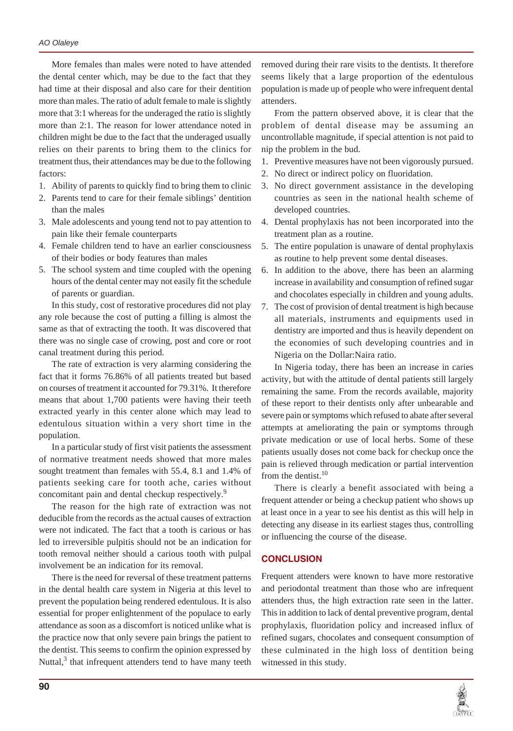More females than males were noted to have attended the dental center which, may be due to the fact that they had time at their disposal and also care for their dentition more than males. The ratio of adult female to male is slightly more that 3:1 whereas for the underaged the ratio is slightly more than 2:1. The reason for lower attendance noted in children might be due to the fact that the underaged usually relies on their parents to bring them to the clinics for treatment thus, their attendances may be due to the following factors:

- 1. Ability of parents to quickly find to bring them to clinic
- 2. Parents tend to care for their female siblings' dentition than the males
- 3. Male adolescents and young tend not to pay attention to pain like their female counterparts
- 4. Female children tend to have an earlier consciousness of their bodies or body features than males
- 5. The school system and time coupled with the opening hours of the dental center may not easily fit the schedule of parents or guardian.

In this study, cost of restorative procedures did not play any role because the cost of putting a filling is almost the same as that of extracting the tooth. It was discovered that there was no single case of crowing, post and core or root canal treatment during this period.

The rate of extraction is very alarming considering the fact that it forms 76.86% of all patients treated but based on courses of treatment it accounted for 79.31%. It therefore means that about 1,700 patients were having their teeth extracted yearly in this center alone which may lead to edentulous situation within a very short time in the population.

In a particular study of first visit patients the assessment of normative treatment needs showed that more males sought treatment than females with 55.4, 8.1 and 1.4% of patients seeking care for tooth ache, caries without concomitant pain and dental checkup respectively.<sup>9</sup>

The reason for the high rate of extraction was not deducible from the records as the actual causes of extraction were not indicated. The fact that a tooth is carious or has led to irreversible pulpitis should not be an indication for tooth removal neither should a carious tooth with pulpal involvement be an indication for its removal.

There is the need for reversal of these treatment patterns in the dental health care system in Nigeria at this level to prevent the population being rendered edentulous. It is also essential for proper enlightenment of the populace to early attendance as soon as a discomfort is noticed unlike what is the practice now that only severe pain brings the patient to the dentist. This seems to confirm the opinion expressed by Nuttal, $3$  that infrequent attenders tend to have many teeth removed during their rare visits to the dentists. It therefore seems likely that a large proportion of the edentulous population is made up of people who were infrequent dental attenders.

From the pattern observed above, it is clear that the problem of dental disease may be assuming an uncontrollable magnitude, if special attention is not paid to nip the problem in the bud.

- 1. Preventive measures have not been vigorously pursued.
- 2. No direct or indirect policy on fluoridation.
- 3. No direct government assistance in the developing countries as seen in the national health scheme of developed countries.
- 4. Dental prophylaxis has not been incorporated into the treatment plan as a routine.
- 5. The entire population is unaware of dental prophylaxis as routine to help prevent some dental diseases.
- 6. In addition to the above, there has been an alarming increase in availability and consumption of refined sugar and chocolates especially in children and young adults.
- 7. The cost of provision of dental treatment is high because all materials, instruments and equipments used in dentistry are imported and thus is heavily dependent on the economies of such developing countries and in Nigeria on the Dollar:Naira ratio.

In Nigeria today, there has been an increase in caries activity, but with the attitude of dental patients still largely remaining the same. From the records available, majority of these report to their dentists only after unbearable and severe pain or symptoms which refused to abate after several attempts at ameliorating the pain or symptoms through private medication or use of local herbs. Some of these patients usually doses not come back for checkup once the pain is relieved through medication or partial intervention from the dentist. $10$ 

There is clearly a benefit associated with being a frequent attender or being a checkup patient who shows up at least once in a year to see his dentist as this will help in detecting any disease in its earliest stages thus, controlling or influencing the course of the disease.

#### **CONCLUSION**

Frequent attenders were known to have more restorative and periodontal treatment than those who are infrequent attenders thus, the high extraction rate seen in the latter. This in addition to lack of dental preventive program, dental prophylaxis, fluoridation policy and increased influx of refined sugars, chocolates and consequent consumption of these culminated in the high loss of dentition being witnessed in this study.